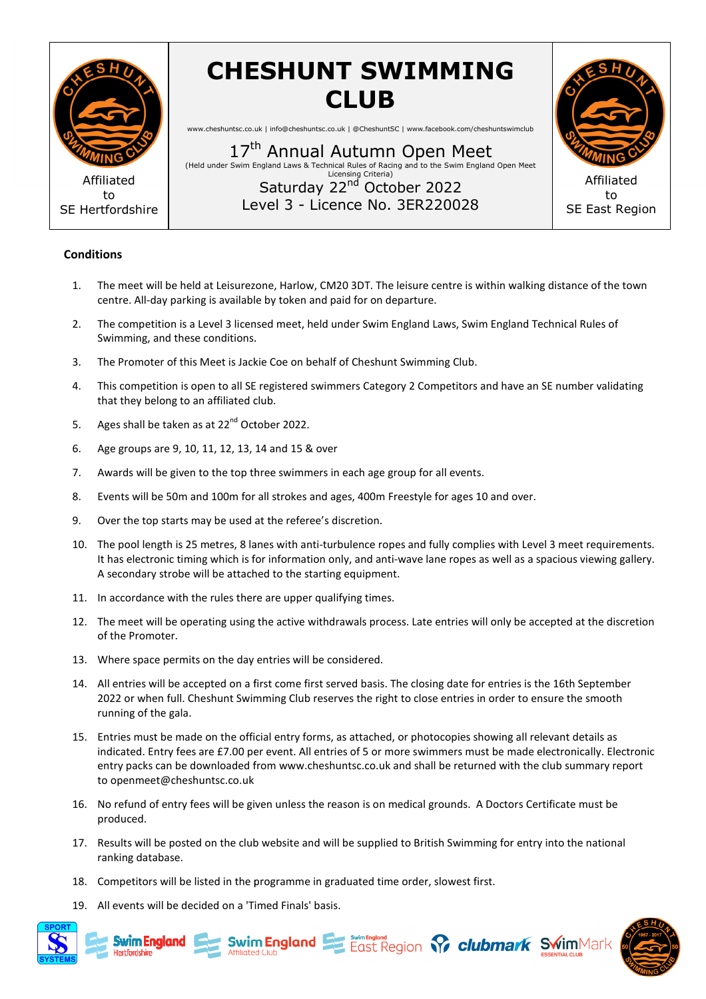

## **CHESHUNT SWIMMING CLUB**

www.cheshuntsc.co.uk | info@cheshuntsc.co.uk | @CheshuntSC | www.facebook.com/cheshuntswimclub

17<sup>th</sup> Annual Autumn Open Meet (Held under Swim England England Laws & Technical Rules of Racing and to the Swim England Open Meet Level 3 - Licence No. 3ER220028 Licensing Criteria) Saturday 22<sup>nd</sup> October 2022



## **Conditions**

- 1. The meet will be held at Leisurezone, Harlow, CM20 3DT. The leisure centre is within walking distance of the town centre. All-day parking is available by token and paid for on departure.
- 2. The competition is a Level 3 licensed meet, held under Swim England Laws, Swim England Technical Rules of Swimming, and these conditions. Swimming, and these conditions.<br>3. The Promoter of this Meet is Jackie Coe on behalf of Cheshunt Swimming Club.
- 
- 4. This competition is open to all SE registered swimmers Category 2 Competitors and have an SE number validating that they belong to an affiliated club.
- 5. Ages shall be taken as at 22<sup>nd</sup> October 2022.
- 6. Age groups are 9, 10, 11, 12, 13, 14 and 15 & over
- 7. Awards will be given to the top three swimmers in each age group for all events.
- 8. Events will be 50m and 100m for all strokes and ages, 400m Freestyle for ages 10 and over.
- 9. Over the top starts may be used at the referee's discretion.
- 10. The pool length is 25 metres, 8 lanes with anti-turbulence ropes and fully complies with Level 3 meet requirements. The pool length is 25 metres, 8 lanes with anti-turbulence ropes and fully complies with Level 3 meet requirements.<br>It has electronic timing which is for information only, and anti-wave lane ropes as well as a spacious vie A secondary strobe will be attached to the starting equipment.
- 11. In accordance with the rules there are upper qualifying times.
- 11. In accordance with the rules there are upper qualifying times.<br>12. The meet will be operating using the active withdrawals process. Late entries will only be accepted at the discretion of the Promoter.
- 13. Where space permits on the day entries will be considered.
- 14. All entries will be accepted on a first come first served basis. The closing date for entries is the 16th September 2022 or when full. Cheshunt Swimming Club reserves the right to close entries in order to ensure the smooth running of the gala.
- 15. Entries must be made on the official entry forms, as attached, or photocopies showing all relevant details as indicated. Entry fees are £7.00 per event. All entries of 5 or more swimmers must be made electronically. Electronic entry packs can be downloaded from www.cheshuntsc.co.uk and shall be returned with the club summary report to openmeet@cheshuntsc.co.uk
- 16. No refund of entry fees will be given unless the reason is on medical grounds. A Doctors Certificate must be produced.
- 17. Results will be posted on the club website and will be supplied to British Swimming for entry into the national ranking database.

**Swim England Examples Applies Clubmark SwimMark** 

- 18. Competitors will be listed in the programme in graduated time order, slowest first.
- 19. All events will be decided on a 'Timed Finals' basis.



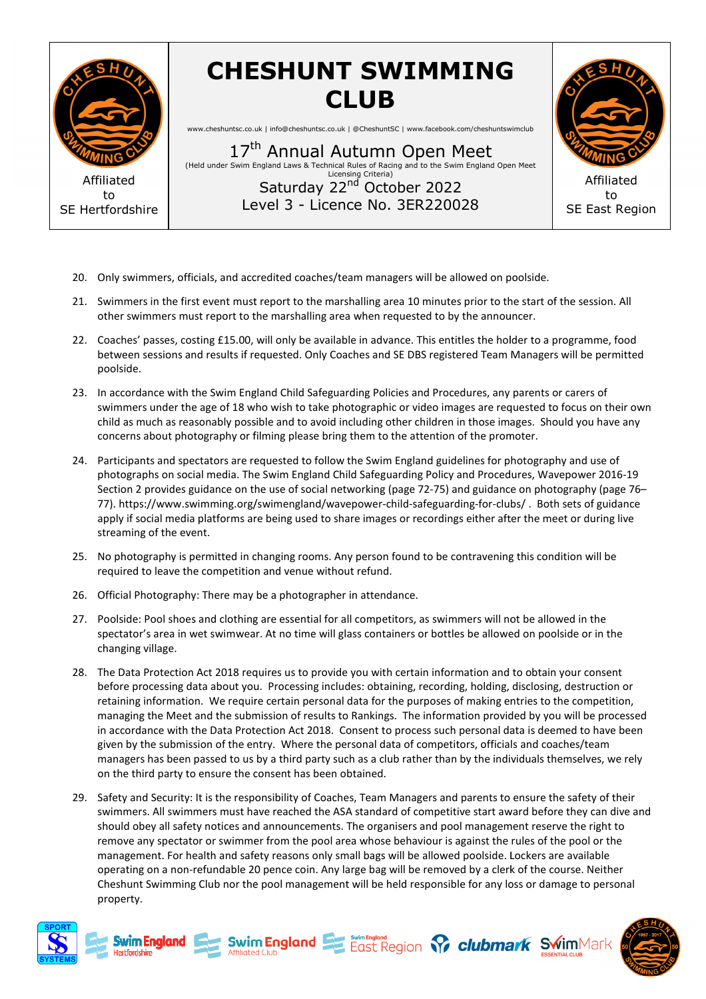

## **CHESHUNT SWIMMING CLUB**

www.cheshuntsc.co.uk | info@cheshuntsc.co.uk | @CheshuntSC | www.facebook.com/cheshuntswimclub

17<sup>th</sup> Annual Autumn Open Meet (Held under Swim England England Laws & Technical Rules of Racing and to the Swim England Open Meet Level 3 - Licence No. 3ER220028 Licensing Criteria) Saturday 22<sup>nd</sup> October 2022



- 20. Only swimmers, officials, and accredited coaches/team managers will be allowed on poolside.
- 21. Swimmers in the first event must report to the marshalling area 10 minutes prior to the start of the session. All other swimmers must report to the marshalling area when requested to by the announcer.
- 22. Coaches' passes, costing £15.00, will only be available in advance. This entitles the holder to a programme, food between sessions and results if requested. Only Coaches and SE DBS registered Team Managers will be permitted poolside.
- 23. In accordance with the Swim England Child Safeguarding Policies and Procedures, any paren parents or carers of swimmers under the age of 18 who wish to take photographic or video images are requested to focus on their own child as much as reasonably possible and to avoid including other children in those images. Should you have any concerns about photography or filming please bring them to the attention of the promoter.
- 24. Participants and spectators are requested to follow the Swim England guidelines for photography and use of photographs on social media. The Swim England Child Safeguarding Policy and Procedures, Wavepower 2016 2016-19 Section 2 provides guidance on the use of social networking (page 72-75) and guidance on photography (page 76– 77). https://www.swimming.org/swimengland/wavepower-child-safeguarding-for-clubs/. Both sets of guidance apply if social media platforms are being used to share images or recordings either after the meet or during live streaming of the event.
- 25. No photography is permitted in changing rooms. Any person found to be contravening this condition will be required to leave the competition and venue without refund.<br>26. Official Photography: There may be a photographe required to leave the competition and venue without refund.
- 26. Official Photography: There may be a photographer in attendance.
- 27. Poolside: Pool shoes and clothing are essential for all competitors, as swimmers will not be allowed in the spectator's area in wet swimwear. At no time will glass containers or bottles be allowed on poolside or in the changing village.
- 28. The Data Protection Act 2018 requires us to provide you with certain information and to obtain your consent before processing data about you. Processing includes: obtaining, recording, holding, disclosing, destruction or retaining information. We require certain personal data for the purposes of making entries to the competition, managing the Meet and the submission of results to Rankings. The information provided by you will be processed in accordance with the Data Protection Act 2018. Consent to process such personal data is deemed to have been given by the submission of the entry. Where the personal data of competitors, officials and coaches/team<br>managers has been passed to us by a third party such as a club rather than by the individuals themselves, v<br>on the th managers has been passed to us by a third party such as a club rather than by the individuals themselves, we rely on the third party to ensure the consent has been obtained. **Saturday**  $22^{n/2}$  October 2022<br>
Level 3 - Licence No. 3ER2220028<br>
SE East Regi<br>
to the therm and accredited coaches/team managers will be allowed on poolside.<br>
the term match report to the marshalling area when request ential for all competitors, as swimmers will not be allowed in the<br>time will glass containers or bottles be allowed on poolside or in the<br>to provide you with certain information and to obtain your consent<br>ssing includes: o
- 29. Safety and Security: It is the responsibility of Coaches, Team Managers and parents to ensure the safety of their swimmers. All swimmers must have reached the ASA standard of competitive start award before they can dive and should obey all safety notices and announcements. The organisers and pool management reserve the right to remove any spectator or swimmer from the pool area whose behaviour is against the rules of the pool or the management. For health and safety reasons only small bags will be allowed poolside. Lockers are available operating on a non-refundable 20 pence coin. Any large bag will be removed by a clerk of the course. Neither Cheshunt Swimming Club nor the pool management will be held responsible for any loss or damage to persona property. y notices and announcements. The organisers and pool management reserve the right<br>or or swimmer from the pool area whose behaviour is against the rules of the pool or tl<br>ealth and safety reasons only small bags will be all e allowed poolside. Lockers are available<br>e removed by a clerk of the course. Neither<br>esponsible for any loss or damage to personal